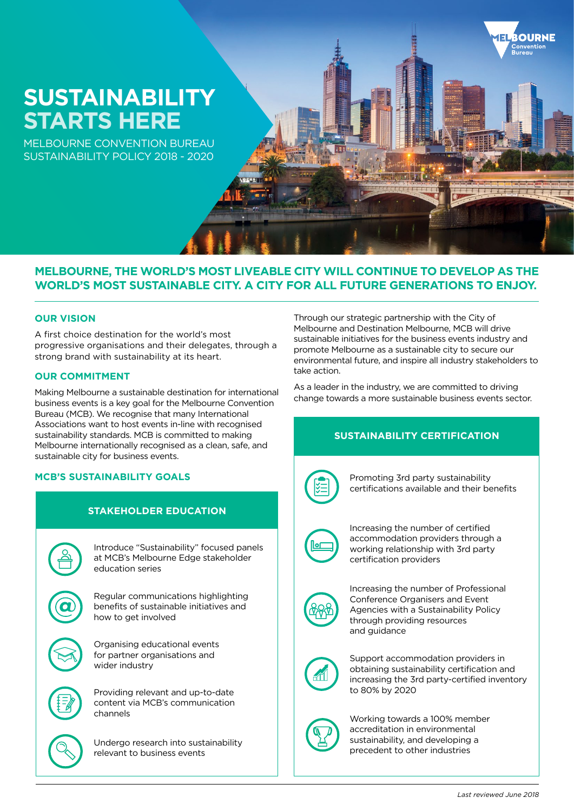# **SUSTAINABILITY STARTS HERE**

MELBOURNE CONVENTION BUREAU SUSTAINABILITY POLICY 2018 - 2020

## **MELBOURNE, THE WORLD'S MOST LIVEABLE CITY WILL CONTINUE TO DEVELOP AS THE WORLD'S MOST SUSTAINABLE CITY. A CITY FOR ALL FUTURE GENERATIONS TO ENJOY.**

#### **OUR VISION**

A first choice destination for the world's most progressive organisations and their delegates, through a strong brand with sustainability at its heart.

#### **OUR COMMITMENT**

Making Melbourne a sustainable destination for international business events is a key goal for the Melbourne Convention Bureau (MCB). We recognise that many International Associations want to host events in-line with recognised sustainability standards. MCB is committed to making Melbourne internationally recognised as a clean, safe, and sustainable city for business events.

### **MCB'S SUSTAINABILITY GOALS**



Through our strategic partnership with the City of Melbourne and Destination Melbourne, MCB will drive sustainable initiatives for the business events industry and promote Melbourne as a sustainable city to secure our environmental future, and inspire all industry stakeholders to take action.

**ROURNE** 

As a leader in the industry, we are committed to driving change towards a more sustainable business events sector.

## **SUSTAINABILITY CERTIFICATION**



Promoting 3rd party sustainability certifications available and their benefits



Increasing the number of certified accommodation providers through a working relationship with 3rd party certification providers



Increasing the number of Professional Conference Organisers and Event Agencies with a Sustainability Policy through providing resources and guidance



Support accommodation providers in obtaining sustainability certification and increasing the 3rd party-certified inventory to 80% by 2020



Working towards a 100% member accreditation in environmental sustainability, and developing a precedent to other industries